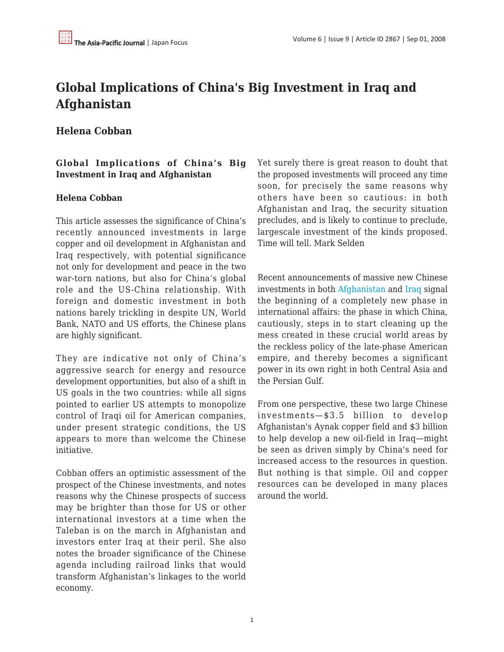# **Global Implications of China's Big Investment in Iraq and Afghanistan**

## **Helena Cobban**

### **Global Implications of China's Big Investment in Iraq and Afghanistan**

#### **Helena Cobban**

This article assesses the significance of China's recently announced investments in large copper and oil development in Afghanistan and Iraq respectively, with potential significance not only for development and peace in the two war-torn nations, but also for China's global role and the US-China relationship. With foreign and domestic investment in both nations barely trickling in despite UN, World Bank, NATO and US efforts, the Chinese plans are highly significant.

They are indicative not only of China's aggressive search for energy and resource development opportunities, but also of a shift in US goals in the two countries: while all signs pointed to earlier US attempts to monopolize control of Iraqi oil for American companies, under present strategic conditions, the US appears to more than welcome the Chinese initiative.

Cobban offers an optimistic assessment of the prospect of the Chinese investments, and notes reasons why the Chinese prospects of success may be brighter than those for US or other international investors at a time when the Taleban is on the march in Afghanistan and investors enter Iraq at their peril. She also notes the broader significance of the Chinese agenda including railroad links that would transform Afghanistan's linkages to the world economy.

Yet surely there is great reason to doubt that the proposed investments will proceed any time soon, for precisely the same reasons why others have been so cautious: in both Afghanistan and Iraq, the security situation precludes, and is likely to continue to preclude, largescale investment of the kinds proposed. Time will tell. Mark Selden

Recent announcements of massive new Chinese investments in both [Afghanistan](https://apjjf.org/javascript:void(0);/*1220293353479*) and [Iraq](https://apjjf.org/javascript:void(0);/*1220293311722*) signal the beginning of a completely new phase in international affairs: the phase in which China, cautiously, steps in to start cleaning up the mess created in these crucial world areas by the reckless policy of the late-phase American empire, and thereby becomes a significant power in its own right in both Central Asia and the Persian Gulf.

From one perspective, these two large Chinese investments—\$3.5 billion to develop Afghanistan's Aynak copper field and \$3 billion to help develop a new oil-field in Iraq—might be seen as driven simply by China's need for increased access to the resources in question. But nothing is that simple. Oil and copper resources can be developed in many places around the world.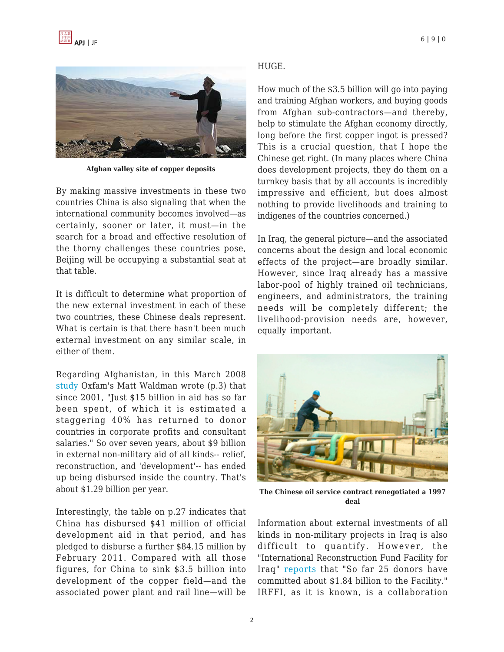

**Afghan valley site of copper deposits**

By making massive investments in these two countries China is also signaling that when the international community becomes involved—as certainly, sooner or later, it must—in the search for a broad and effective resolution of the thorny challenges these countries pose, Beijing will be occupying a substantial seat at that table.

It is difficult to determine what proportion of the new external investment in each of these two countries, these Chinese deals represent. What is certain is that there hasn't been much external investment on any similar scale, in either of them.

Regarding Afghanistan, in this March 2008 [study](http://www.oxfam.org.uk/resources/policy/debt_aid/downloads/aid_effectiveness_afghanistan.pdf) Oxfam's Matt Waldman wrote (p.3) that since 2001, "Just \$15 billion in aid has so far been spent, of which it is estimated a staggering 40% has returned to donor countries in corporate profits and consultant salaries." So over seven years, about \$9 billion in external non-military aid of all kinds-- relief, reconstruction, and 'development'-- has ended up being disbursed inside the country. That's about \$1.29 billion per year.

Interestingly, the table on p.27 indicates that China has disbursed \$41 million of official development aid in that period, and has pledged to disburse a further \$84.15 million by February 2011. Compared with all those figures, for China to sink \$3.5 billion into development of the copper field—and the associated power plant and rail line—will be

#### HUGE.

How much of the \$3.5 billion will go into paying and training Afghan workers, and buying goods from Afghan sub-contractors—and thereby, help to stimulate the Afghan economy directly, long before the first copper ingot is pressed? This is a crucial question, that I hope the Chinese get right. (In many places where China does development projects, they do them on a turnkey basis that by all accounts is incredibly impressive and efficient, but does almost nothing to provide livelihoods and training to indigenes of the countries concerned.)

In Iraq, the general picture—and the associated concerns about the design and local economic effects of the project—are broadly similar. However, since Iraq already has a massive labor-pool of highly trained oil technicians, engineers, and administrators, the training needs will be completely different; the livelihood-provision needs are, however, equally important.



**The Chinese oil service contract renegotiated a 1997 deal**

Information about external investments of all kinds in non-military projects in Iraq is also difficult to quantify. However, the "International Reconstruction Fund Facility for Iraq" [reports](http://www.irffi.org/WBSITE/EXTERNAL/IRFFI/0,,menuPK:64168276~pagePK:64168245~piPK:64168275~theSitePK:491458,00.html) that "So far 25 donors have committed about \$1.84 billion to the Facility." IRFFI, as it is known, is a collaboration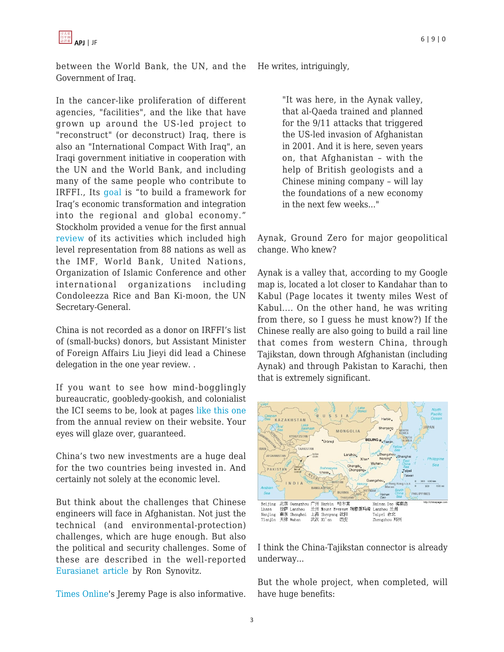

between the World Bank, the UN, and the Government of Iraq.

In the cancer-like proliferation of different agencies, "facilities", and the like that have grown up around the US-led project to "reconstruct" (or deconstruct) Iraq, there is also an "International Compact With Iraq", an Iraqi government initiative in cooperation with the UN and the World Bank, and including many of the same people who contribute to IRFFI., Its [goal](http://www.globalsecurity.org/wmd/library/news/iraq/2006/07/iraq-060706-unnews01.htm) is "to build a framework for Iraq's economic transformation and integration into the regional and global economy." Stockholm provided a venue for the first annual [review](http://www.un.org/apps/news/infocus/sgspeeches/search_full.asp?statID=251) of its activities which included high level representation from 88 nations as well as the IMF, World Bank, United Nations, Organization of Islamic Conference and other international organizations including Condoleezza Rice and Ban Ki-moon, the UN Secretary-General.

China is not recorded as a donor on IRFFI's list of (small-bucks) donors, but Assistant Minister of Foreign Affairs Liu Jieyi did lead a Chinese delegation in the one year review. .

If you want to see how mind-bogglingly bureaucratic, goobledy-gookish, and colonialist the ICI seems to be, look at pages [like this one](https://apjjf.org/javascript:void(0);/*1220295499860*) from the annual review on their website. Your eyes will glaze over, guaranteed.

China's two new investments are a huge deal for the two countries being invested in. And certainly not solely at the economic level.

But think about the challenges that Chinese engineers will face in Afghanistan. Not just the technical (and environmental-protection) challenges, which are huge enough. But also the political and security challenges. Some of these are described in the well-reported [Eurasianet article](http://www.eurasianet.org/departments/insight/articles/pp090708.shtml) by Ron Synovitz.

[Times Online](http://www.rawa.org/temp/runews/2008/05/15/afghanistan-copper-deposits-worth-88-billion-attract-chinese-investors.phtml)'s Jeremy Page is also informative.

He writes, intriguingly,

"It was here, in the Aynak valley, that al-Qaeda trained and planned for the 9/11 attacks that triggered the US-led invasion of Afghanistan in 2001. And it is here, seven years on, that Afghanistan – with the help of British geologists and a Chinese mining company – will lay the foundations of a new economy in the next few weeks..."

Aynak, Ground Zero for major geopolitical change. Who knew?

Aynak is a valley that, according to my Google map is, located a lot closer to Kandahar than to Kabul (Page locates it twenty miles West of Kabul.... On the other hand, he was writing from there, so I guess he must know?) If the Chinese really are also going to build a rail line that comes from western China, through Tajikstan, down through Afghanistan (including Aynak) and through Pakistan to Karachi, then that is extremely significant.



I think the China-Tajikstan connector is already underway...

But the whole project, when completed, will have huge benefits: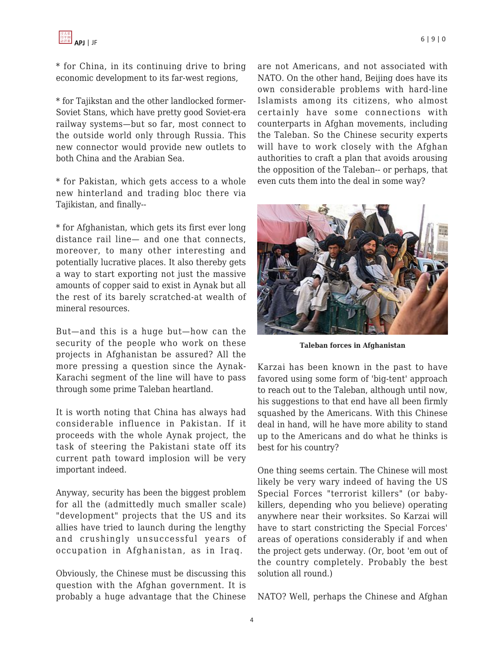

\* for China, in its continuing drive to bring economic development to its far-west regions,

\* for Tajikstan and the other landlocked former-Soviet Stans, which have pretty good Soviet-era railway systems—but so far, most connect to the outside world only through Russia. This new connector would provide new outlets to both China and the Arabian Sea.

\* for Pakistan, which gets access to a whole new hinterland and trading bloc there via Tajikistan, and finally--

\* for Afghanistan, which gets its first ever long distance rail line— and one that connects, moreover, to many other interesting and potentially lucrative places. It also thereby gets a way to start exporting not just the massive amounts of copper said to exist in Aynak but all the rest of its barely scratched-at wealth of mineral resources.

But—and this is a huge but—how can the security of the people who work on these projects in Afghanistan be assured? All the more pressing a question since the Aynak-Karachi segment of the line will have to pass through some prime Taleban heartland.

It is worth noting that China has always had considerable influence in Pakistan. If it proceeds with the whole Aynak project, the task of steering the Pakistani state off its current path toward implosion will be very important indeed.

Anyway, security has been the biggest problem for all the (admittedly much smaller scale) "development" projects that the US and its allies have tried to launch during the lengthy and crushingly unsuccessful years of occupation in Afghanistan, as in Iraq.

Obviously, the Chinese must be discussing this question with the Afghan government. It is probably a huge advantage that the Chinese are not Americans, and not associated with NATO. On the other hand, Beijing does have its own considerable problems with hard-line Islamists among its citizens, who almost certainly have some connections with counterparts in Afghan movements, including the Taleban. So the Chinese security experts will have to work closely with the Afghan authorities to craft a plan that avoids arousing the opposition of the Taleban-- or perhaps, that even cuts them into the deal in some way?



**Taleban forces in Afghanistan**

Karzai has been known in the past to have favored using some form of 'big-tent' approach to reach out to the Taleban, although until now, his suggestions to that end have all been firmly squashed by the Americans. With this Chinese deal in hand, will he have more ability to stand up to the Americans and do what he thinks is best for his country?

One thing seems certain. The Chinese will most likely be very wary indeed of having the US Special Forces "terrorist killers" (or babykillers, depending who you believe) operating anywhere near their worksites. So Karzai will have to start constricting the Special Forces' areas of operations considerably if and when the project gets underway. (Or, boot 'em out of the country completely. Probably the best solution all round.)

NATO? Well, perhaps the Chinese and Afghan